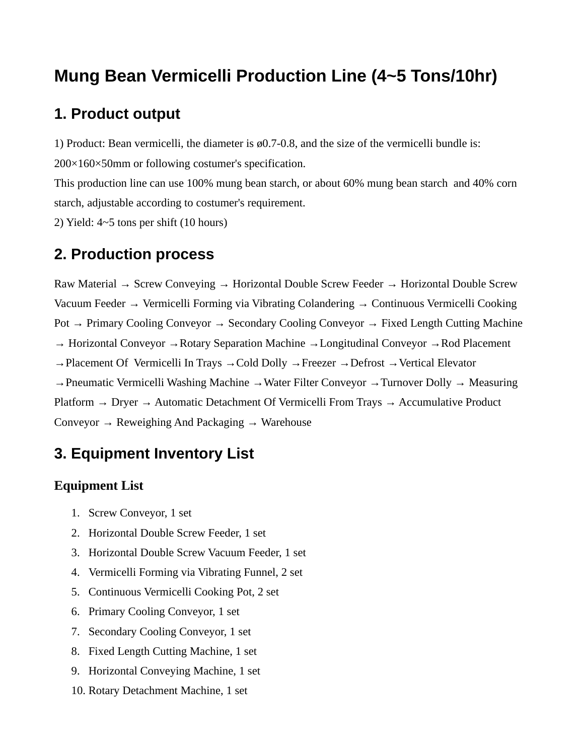# **Mung Bean Vermicelli Production Line (4~5 Tons/10hr)**

## **1. Product output**

1) Product: Bean vermicelli, the diameter is  $\varnothing$ 0.7-0.8, and the size of the vermicelli bundle is: 200×160×50mm or following costumer's specification.

This production line can use 100% mung bean starch, or about 60% mung bean starch and 40% corn starch, adjustable according to costumer's requirement.

2) Yield:  $4~5$  tons per shift (10 hours)

### **2. Production process**

Raw Material → Screw Conveying → Horizontal Double Screw Feeder → Horizontal Double Screw Vacuum Feeder → Vermicelli Forming via Vibrating Colandering → Continuous Vermicelli Cooking Pot → Primary Cooling Conveyor → Secondary Cooling Conveyor → Fixed Length Cutting Machine → Horizontal Conveyor →Rotary Separation Machine →Longitudinal Conveyor →Rod Placement  $\rightarrow$  Placement Of Vermicelli In Trays  $\rightarrow$  Cold Dolly  $\rightarrow$  Freezer  $\rightarrow$  Defrost  $\rightarrow$  Vertical Elevator →Pneumatic Vermicelli Washing Machine →Water Filter Conveyor →Turnover Dolly → Measuring Platform  $\rightarrow$  Dryer  $\rightarrow$  Automatic Detachment Of Vermicelli From Trays  $\rightarrow$  Accumulative Product Conveyor  $\rightarrow$  Reweighing And Packaging  $\rightarrow$  Warehouse

### **3. Equipment Inventory List**

#### **Equipment List**

- 1. Screw Conveyor, 1 set
- 2. Horizontal Double Screw Feeder, 1 set
- 3. Horizontal Double Screw Vacuum Feeder, 1 set
- 4. Vermicelli Forming via Vibrating Funnel, 2 set
- 5. Continuous Vermicelli Cooking Pot, 2 set
- 6. Primary Cooling Conveyor, 1 set
- 7. Secondary Cooling Conveyor, 1 set
- 8. Fixed Length Cutting Machine, 1 set
- 9. Horizontal Conveying Machine, 1 set
- 10. Rotary Detachment Machine, 1 set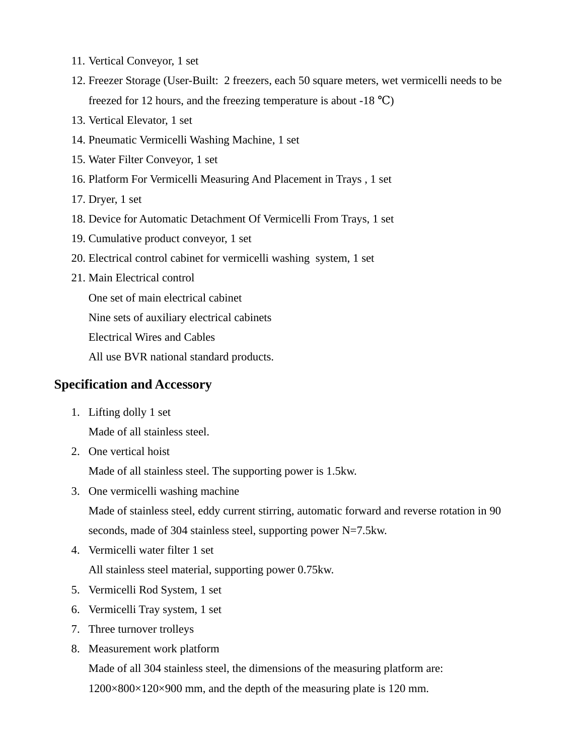- 11. Vertical Conveyor, 1 set
- 12. Freezer Storage (User-Built: 2 freezers, each 50 square meters, wet vermicelli needs to be freezed for 12 hours, and the freezing temperature is about  $-18 \text{ °C}$ )
- 13. Vertical Elevator, 1 set
- 14. Pneumatic Vermicelli Washing Machine, 1 set
- 15. Water Filter Conveyor, 1 set
- 16. Platform For Vermicelli Measuring And Placement in Trays , 1 set
- 17. Dryer, 1 set
- 18. Device for Automatic Detachment Of Vermicelli From Trays, 1 set
- 19. Cumulative product conveyor, 1 set
- 20. Electrical control cabinet for vermicelli washing system, 1 set
- 21. Main Electrical control

One set of main electrical cabinet

Nine sets of auxiliary electrical cabinets

Electrical Wires and Cables

All use BVR national standard products.

#### **Specification and Accessory**

- 1. Lifting dolly 1 set Made of all stainless steel.
- 2. One vertical hoist

Made of all stainless steel. The supporting power is 1.5kw.

3. One vermicelli washing machine

Made of stainless steel, eddy current stirring, automatic forward and reverse rotation in 90 seconds, made of 304 stainless steel, supporting power N=7.5kw.

4. Vermicelli water filter 1 set

All stainless steel material, supporting power 0.75kw.

- 5. Vermicelli Rod System, 1 set
- 6. Vermicelli Tray system, 1 set
- 7. Three turnover trolleys
- 8. Measurement work platform

Made of all 304 stainless steel, the dimensions of the measuring platform are: 1200×800×120×900 mm, and the depth of the measuring plate is 120 mm.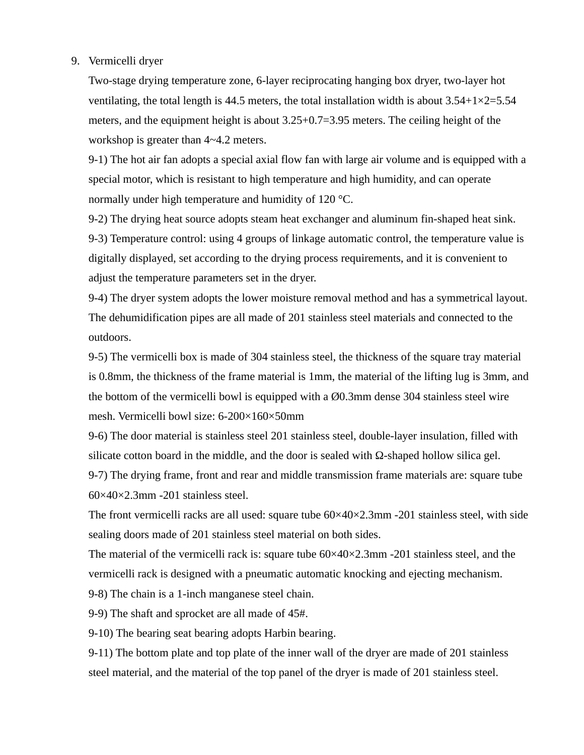#### 9. Vermicelli dryer

Two-stage drying temperature zone, 6-layer reciprocating hanging box dryer, two-layer hot ventilating, the total length is 44.5 meters, the total installation width is about  $3.54+1\times2=5.54$ meters, and the equipment height is about 3.25+0.7=3.95 meters. The ceiling height of the workshop is greater than 4~4.2 meters.

9-1) The hot air fan adopts a special axial flow fan with large air volume and is equipped with a special motor, which is resistant to high temperature and high humidity, and can operate normally under high temperature and humidity of 120 °C.

9-2) The drying heat source adopts steam heat exchanger and aluminum fin-shaped heat sink. 9-3) Temperature control: using 4 groups of linkage automatic control, the temperature value is digitally displayed, set according to the drying process requirements, and it is convenient to adjust the temperature parameters set in the dryer.

9-4) The dryer system adopts the lower moisture removal method and has a symmetrical layout. The dehumidification pipes are all made of 201 stainless steel materials and connected to the outdoors.

9-5) The vermicelli box is made of 304 stainless steel, the thickness of the square tray material is 0.8mm, the thickness of the frame material is 1mm, the material of the lifting lug is 3mm, and the bottom of the vermicelli bowl is equipped with a Ø0.3mm dense 304 stainless steel wire mesh. Vermicelli bowl size: 6-200×160×50mm

9-6) The door material is stainless steel 201 stainless steel, double-layer insulation, filled with silicate cotton board in the middle, and the door is sealed with Ω-shaped hollow silica gel.

9-7) The drying frame, front and rear and middle transmission frame materials are: square tube 60×40×2.3mm -201 stainless steel.

The front vermicelli racks are all used: square tube 60×40×2.3mm -201 stainless steel, with side sealing doors made of 201 stainless steel material on both sides.

The material of the vermicelli rack is: square tube  $60\times40\times2.3$ mm -201 stainless steel, and the vermicelli rack is designed with a pneumatic automatic knocking and ejecting mechanism.

9-8) The chain is a 1-inch manganese steel chain.

9-9) The shaft and sprocket are all made of 45#.

9-10) The bearing seat bearing adopts Harbin bearing.

9-11) The bottom plate and top plate of the inner wall of the dryer are made of 201 stainless steel material, and the material of the top panel of the dryer is made of 201 stainless steel.